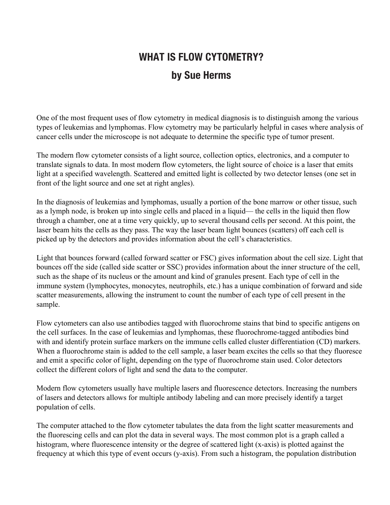## **WHAT IS FLOW CYTOMETRY? by Sue Herms**

One of the most frequent uses of flow cytometry in medical diagnosis is to distinguish among the various types of leukemias and lymphomas. Flow cytometry may be particularly helpful in cases where analysis of cancer cells under the microscope is not adequate to determine the specific type of tumor present.

The modern flow cytometer consists of a light source, collection optics, electronics, and a computer to translate signals to data. In most modern flow cytometers, the light source of choice is a laser that emits light at a specified wavelength. Scattered and emitted light is collected by two detector lenses (one set in front of the light source and one set at right angles).

In the diagnosis of leukemias and lymphomas, usually a portion of the bone marrow or other tissue, such as a lymph node, is broken up into single cells and placed in a liquid— the cells in the liquid then flow through a chamber, one at a time very quickly, up to several thousand cells per second. At this point, the laser beam hits the cells as they pass. The way the laser beam light bounces (scatters) off each cell is picked up by the detectors and provides information about the cell's characteristics.

Light that bounces forward (called forward scatter or FSC) gives information about the cell size. Light that bounces off the side (called side scatter or SSC) provides information about the inner structure of the cell, such as the shape of its nucleus or the amount and kind of granules present. Each type of cell in the immune system (lymphocytes, monocytes, neutrophils, etc.) has a unique combination of forward and side scatter measurements, allowing the instrument to count the number of each type of cell present in the sample.

Flow cytometers can also use antibodies tagged with fluorochrome stains that bind to specific antigens on the cell surfaces. In the case of leukemias and lymphomas, these fluorochrome-tagged antibodies bind with and identify protein surface markers on the immune cells called cluster differentiation (CD) markers. When a fluorochrome stain is added to the cell sample, a laser beam excites the cells so that they fluoresce and emit a specific color of light, depending on the type of fluorochrome stain used. Color detectors collect the different colors of light and send the data to the computer.

Modern flow cytometers usually have multiple lasers and fluorescence detectors. Increasing the numbers of lasers and detectors allows for multiple antibody labeling and can more precisely identify a target population of cells.

The computer attached to the flow cytometer tabulates the data from the light scatter measurements and the fluorescing cells and can plot the data in several ways. The most common plot is a graph called a histogram, where fluorescence intensity or the degree of scattered light (x-axis) is plotted against the frequency at which this type of event occurs (y-axis). From such a histogram, the population distribution